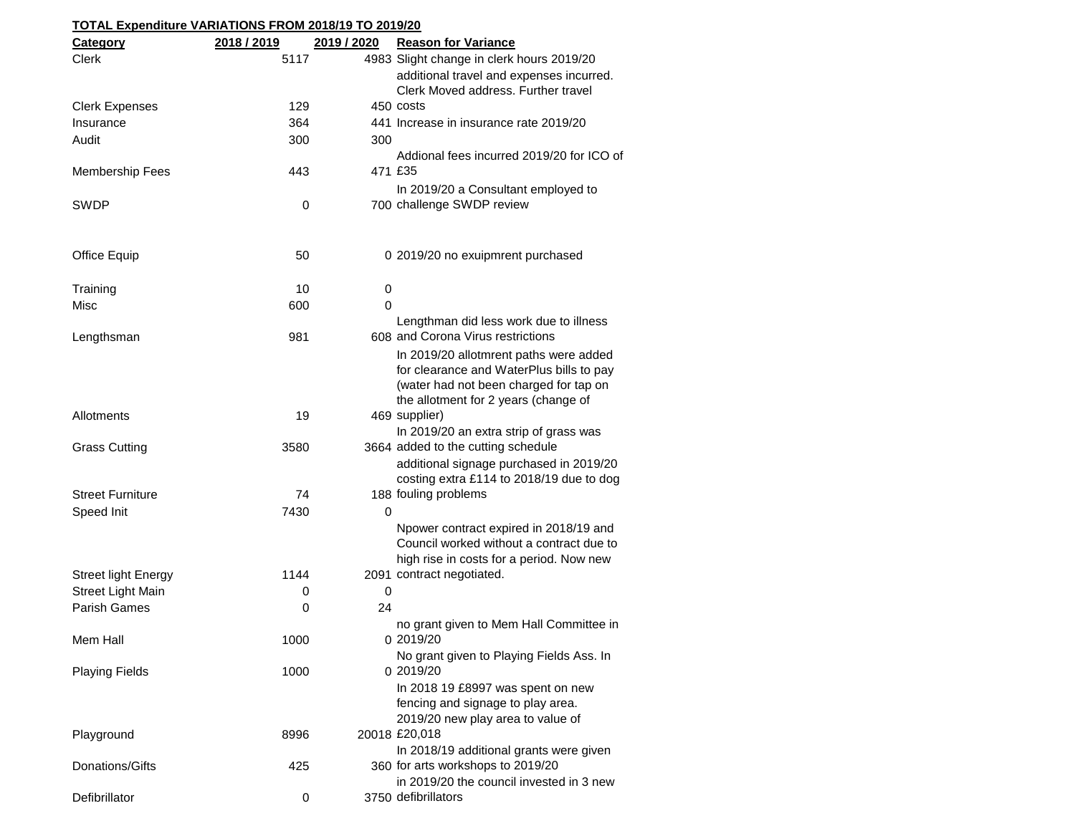| TOTAL Expenditure VARIATIONS FROM 2018/19 TO 2019/20 |             |             |                                                                 |  |  |
|------------------------------------------------------|-------------|-------------|-----------------------------------------------------------------|--|--|
| <b>Category</b>                                      | 2018 / 2019 | 2019 / 2020 | <b>Reason for Variance</b>                                      |  |  |
| <b>Clerk</b>                                         | 5117        |             | 4983 Slight change in clerk hours 2019/20                       |  |  |
|                                                      |             |             | additional travel and expenses incurred.                        |  |  |
|                                                      |             |             | Clerk Moved address. Further travel                             |  |  |
| <b>Clerk Expenses</b>                                | 129         |             | 450 costs                                                       |  |  |
| Insurance                                            | 364         |             | 441 Increase in insurance rate 2019/20                          |  |  |
| Audit                                                | 300         | 300         |                                                                 |  |  |
|                                                      |             |             | Addional fees incurred 2019/20 for ICO of                       |  |  |
| <b>Membership Fees</b>                               | 443         |             | 471 £35                                                         |  |  |
|                                                      |             |             | In 2019/20 a Consultant employed to                             |  |  |
| <b>SWDP</b>                                          | 0           |             | 700 challenge SWDP review                                       |  |  |
|                                                      |             |             |                                                                 |  |  |
|                                                      |             |             |                                                                 |  |  |
| Office Equip                                         | 50          |             | 0 2019/20 no exuipmrent purchased                               |  |  |
|                                                      |             |             |                                                                 |  |  |
| Training                                             | 10          | 0           |                                                                 |  |  |
| <b>Misc</b>                                          | 600         | $\Omega$    |                                                                 |  |  |
|                                                      |             |             | Lengthman did less work due to illness                          |  |  |
| Lengthsman                                           | 981         |             | 608 and Corona Virus restrictions                               |  |  |
|                                                      |             |             | In 2019/20 allotmrent paths were added                          |  |  |
|                                                      |             |             | for clearance and WaterPlus bills to pay                        |  |  |
|                                                      |             |             | (water had not been charged for tap on                          |  |  |
|                                                      |             |             | the allotment for 2 years (change of                            |  |  |
| Allotments                                           | 19          |             | 469 supplier)                                                   |  |  |
|                                                      |             |             | In 2019/20 an extra strip of grass was                          |  |  |
| <b>Grass Cutting</b>                                 | 3580        |             | 3664 added to the cutting schedule                              |  |  |
|                                                      |             |             | additional signage purchased in 2019/20                         |  |  |
|                                                      |             |             | costing extra £114 to 2018/19 due to dog                        |  |  |
| <b>Street Furniture</b>                              | 74          |             | 188 fouling problems                                            |  |  |
| Speed Init                                           | 7430        | 0           |                                                                 |  |  |
|                                                      |             |             | Npower contract expired in 2018/19 and                          |  |  |
|                                                      |             |             | Council worked without a contract due to                        |  |  |
|                                                      |             |             | high rise in costs for a period. Now new                        |  |  |
| <b>Street light Energy</b>                           | 1144        |             | 2091 contract negotiated.                                       |  |  |
| <b>Street Light Main</b>                             | 0           | $\mathbf 0$ |                                                                 |  |  |
| Parish Games                                         | 0           | 24          |                                                                 |  |  |
|                                                      |             |             | no grant given to Mem Hall Committee in                         |  |  |
| Mem Hall                                             | 1000        |             | 0 2019/20                                                       |  |  |
|                                                      |             |             | No grant given to Playing Fields Ass. In                        |  |  |
| <b>Playing Fields</b>                                | 1000        |             | 0 2019/20                                                       |  |  |
|                                                      |             |             | In 2018 19 £8997 was spent on new                               |  |  |
|                                                      |             |             | fencing and signage to play area.                               |  |  |
|                                                      |             |             | 2019/20 new play area to value of                               |  |  |
| Playground                                           | 8996        |             | 20018 £20,018                                                   |  |  |
|                                                      |             |             | In 2018/19 additional grants were given                         |  |  |
| Donations/Gifts                                      | 425         |             | 360 for arts workshops to 2019/20                               |  |  |
| Defibrillator                                        |             |             | in 2019/20 the council invested in 3 new<br>3750 defibrillators |  |  |
|                                                      | 0           |             |                                                                 |  |  |